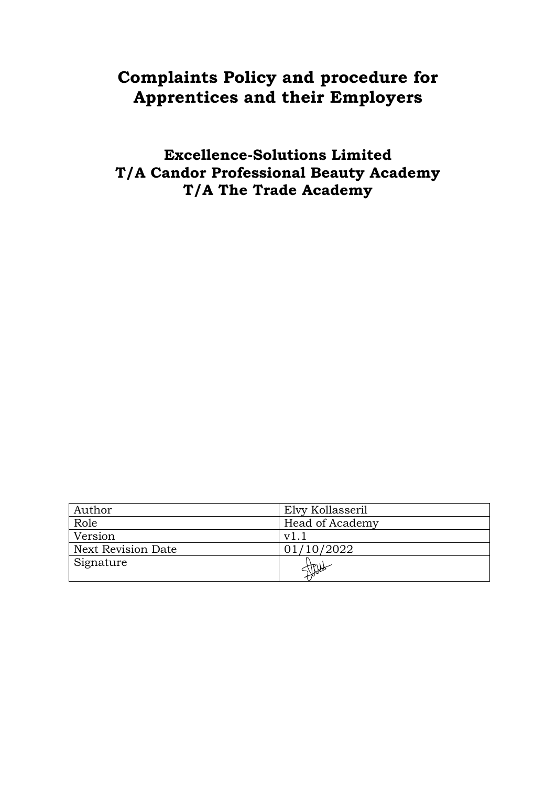# **Complaints Policy and procedure for Apprentices and their Employers**

**Excellence-Solutions Limited T/A Candor Professional Beauty Academy T/A The Trade Academy**

| Author                    | Elvy Kollasseril |
|---------------------------|------------------|
| Role                      | Head of Academy  |
| Version                   | v1               |
| <b>Next Revision Date</b> | 01/10/2022       |
| Signature                 | 11/10            |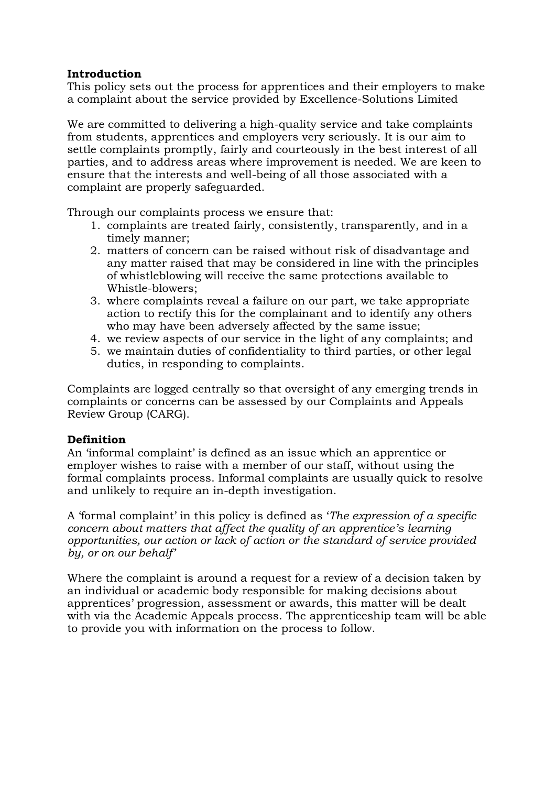#### **Introduction**

This policy sets out the process for apprentices and their employers to make a complaint about the service provided by Excellence-Solutions Limited

We are committed to delivering a high-quality service and take complaints from students, apprentices and employers very seriously. It is our aim to settle complaints promptly, fairly and courteously in the best interest of all parties, and to address areas where improvement is needed. We are keen to ensure that the interests and well-being of all those associated with a complaint are properly safeguarded.

Through our complaints process we ensure that:

- 1. complaints are treated fairly, consistently, transparently, and in a timely manner;
- 2. matters of concern can be raised without risk of disadvantage and any matter raised that may be considered in line with the principles of whistleblowing will receive the same protections available to Whistle-blowers;
- 3. where complaints reveal a failure on our part, we take appropriate action to rectify this for the complainant and to identify any others who may have been adversely affected by the same issue;
- 4. we review aspects of our service in the light of any complaints; and
- 5. we maintain duties of confidentiality to third parties, or other legal duties, in responding to complaints.

Complaints are logged centrally so that oversight of any emerging trends in complaints or concerns can be assessed by our Complaints and Appeals Review Group (CARG).

## **Definition**

An 'informal complaint' is defined as an issue which an apprentice or employer wishes to raise with a member of our staff, without using the formal complaints process. Informal complaints are usually quick to resolve and unlikely to require an in-depth investigation.

A 'formal complaint' in this policy is defined as '*The expression of a specific concern about matters that affect the quality of an apprentice's learning opportunities, our action or lack of action or the standard of service provided by, or on our behalf'* 

Where the complaint is around a request for a review of a decision taken by an individual or academic body responsible for making decisions about apprentices' progression, assessment or awards, this matter will be dealt with via the Academic Appeals process. The apprenticeship team will be able to provide you with information on the process to follow.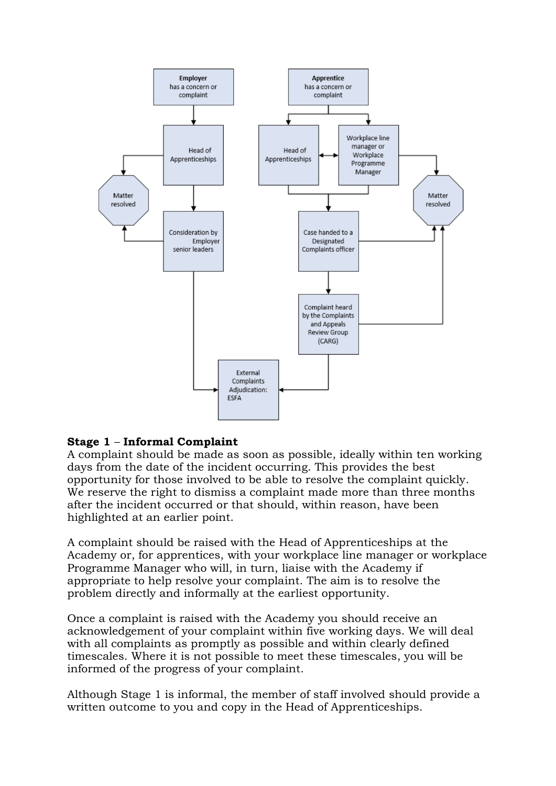

## **Stage 1** – **Informal Complaint**

A complaint should be made as soon as possible, ideally within ten working days from the date of the incident occurring. This provides the best opportunity for those involved to be able to resolve the complaint quickly. We reserve the right to dismiss a complaint made more than three months after the incident occurred or that should, within reason, have been highlighted at an earlier point.

A complaint should be raised with the Head of Apprenticeships at the Academy or, for apprentices, with your workplace line manager or workplace Programme Manager who will, in turn, liaise with the Academy if appropriate to help resolve your complaint. The aim is to resolve the problem directly and informally at the earliest opportunity.

Once a complaint is raised with the Academy you should receive an acknowledgement of your complaint within five working days. We will deal with all complaints as promptly as possible and within clearly defined timescales. Where it is not possible to meet these timescales, you will be informed of the progress of your complaint.

Although Stage 1 is informal, the member of staff involved should provide a written outcome to you and copy in the Head of Apprenticeships.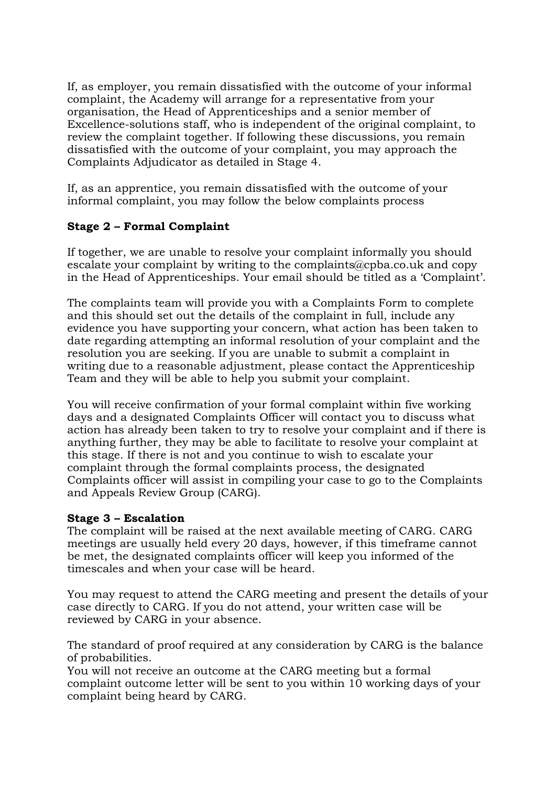If, as employer, you remain dissatisfied with the outcome of your informal complaint, the Academy will arrange for a representative from your organisation, the Head of Apprenticeships and a senior member of Excellence-solutions staff, who is independent of the original complaint, to review the complaint together. If following these discussions, you remain dissatisfied with the outcome of your complaint, you may approach the Complaints Adjudicator as detailed in Stage 4.

If, as an apprentice, you remain dissatisfied with the outcome of your informal complaint, you may follow the below complaints process

## **Stage 2 – Formal Complaint**

If together, we are unable to resolve your complaint informally you should escalate your complaint by writing to the complaints@cpba.co.uk and copy in the Head of Apprenticeships. Your email should be titled as a 'Complaint'.

The complaints team will provide you with a Complaints Form to complete and this should set out the details of the complaint in full, include any evidence you have supporting your concern, what action has been taken to date regarding attempting an informal resolution of your complaint and the resolution you are seeking. If you are unable to submit a complaint in writing due to a reasonable adjustment, please contact the Apprenticeship Team and they will be able to help you submit your complaint.

You will receive confirmation of your formal complaint within five working days and a designated Complaints Officer will contact you to discuss what action has already been taken to try to resolve your complaint and if there is anything further, they may be able to facilitate to resolve your complaint at this stage. If there is not and you continue to wish to escalate your complaint through the formal complaints process, the designated Complaints officer will assist in compiling your case to go to the Complaints and Appeals Review Group (CARG).

#### **Stage 3 – Escalation**

The complaint will be raised at the next available meeting of CARG. CARG meetings are usually held every 20 days, however, if this timeframe cannot be met, the designated complaints officer will keep you informed of the timescales and when your case will be heard.

You may request to attend the CARG meeting and present the details of your case directly to CARG. If you do not attend, your written case will be reviewed by CARG in your absence.

The standard of proof required at any consideration by CARG is the balance of probabilities.

You will not receive an outcome at the CARG meeting but a formal complaint outcome letter will be sent to you within 10 working days of your complaint being heard by CARG.